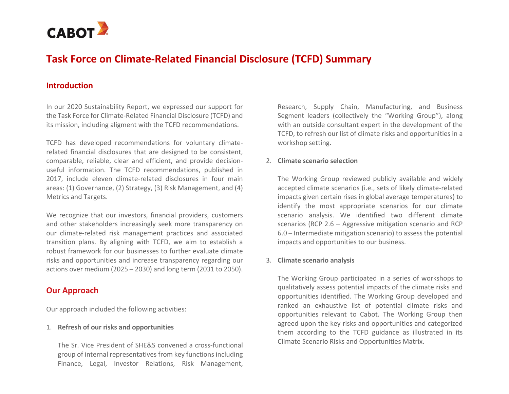

# **Task Force on Climate-Related Financial Disclosure (TCFD) Summary**

## **Introduction**

In our 2020 Sustainability Report, we expressed our support for the Task Force for Climate-Related Financial Disclosure (TCFD) and its mission, including aligment with the TCFD recommendations.

TCFD has developed recommendations for voluntary climaterelated financial disclosures that are designed to be consistent, comparable, reliable, clear and efficient, and provide decisionuseful information. The TCFD recommendations, published in 2017, include eleven climate-related disclosures in four main areas: (1) Governance, (2) Strategy, (3) Risk Management, and (4) Metrics and Targets.

We recognize that our investors, financial providers, customers and other stakeholders increasingly seek more transparency on our climate-related risk management practices and associated transition plans. By aligning with TCFD, we aim to establish a robust framework for our businesses to further evaluate climate risks and opportunities and increase transparency regarding our actions over medium (2025 – 2030) and long term (2031 to 2050).

## **Our Approach**

Our approach included the following activities:

#### 1. **Refresh of our risks and opportunities**

The Sr. Vice President of SHE&S convened a cross-functional group of internal representatives from key functions including Finance, Legal, Investor Relations, Risk Management,

Research, Supply Chain, Manufacturing, and Business Segment leaders (collectively the "Working Group"), along with an outside consultant expert in the development of the TCFD, to refresh our list of climate risks and opportunities in a workshop setting.

#### 2. **Climate scenario selection**

The Working Group reviewed publicly available and widely accepted climate scenarios (i.e., sets of likely climate-related impacts given certain rises in global average temperatures) to identify the most appropriate scenarios for our climate scenario analysis. We identified two different climate scenarios (RCP 2.6 – Aggressive mitigation scenario and RCP 6.0 – Intermediate mitigation scenario) to assess the potential impacts and opportunities to our business.

#### 3. **Climate scenario analysis**

The Working Group participated in a series of workshops to qualitatively assess potential impacts of the climate risks and opportunities identified. The Working Group developed and ranked an exhaustive list of potential climate risks and opportunities relevant to Cabot. The Working Group then agreed upon the key risks and opportunities and categorized them according to the TCFD guidance as illustrated in its Climate Scenario Risks and Opportunities Matrix.